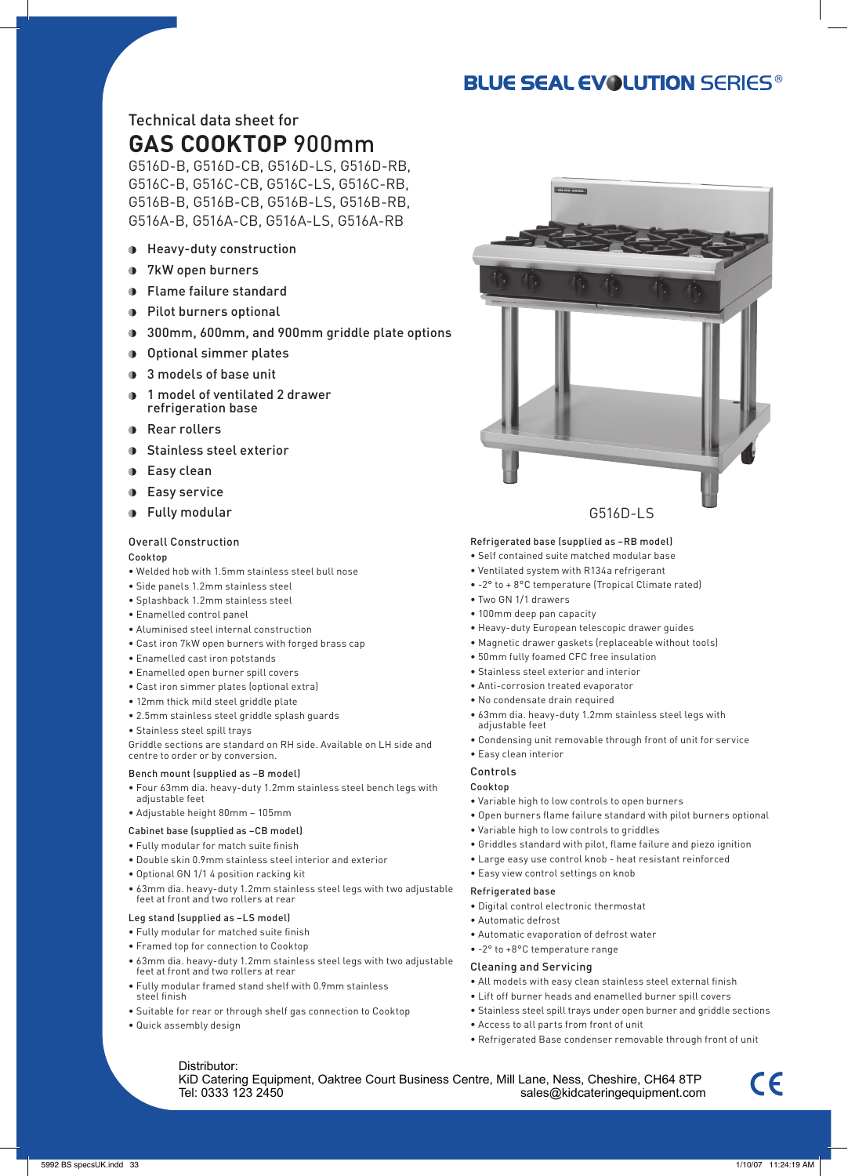## **BLUE SEAL EVOLUTION SERIES®**

## Technical data sheet for **GAS COOKTOP** 900mm

G516D-B, G516D-CB, G516D-LS, G516D-RB, G516C-B, G516C-CB, G516C-LS, G516C-RB, G516B-B, G516B-CB, G516B-LS, G516B-RB, G516A-B, G516A-CB, G516A-LS, G516A-RB

- Heavy-duty construction
- 7kW open burners
- Flame failure standard
- **Pilot burners optional**
- 300mm, 600mm, and 900mm griddle plate options
- Optional simmer plates
- **3** models of base unit
- 1 model of ventilated 2 drawer refrigeration base
- **Rear rollers**
- **Stainless steel exterior**
- **D** Easy clean
- **Easy service**
- **D** Fully modular

#### Overall Construction

Cooktop

- Welded hob with 1.5mm stainless steel bull nose
- Side panels 1.2mm stainless steel
- Splashback 1.2mm stainless steel
- Enamelled control panel
- Aluminised steel internal construction
- Cast iron 7kW open burners with forged brass cap
- Enamelled cast iron potstands
- Enamelled open burner spill covers
- Cast iron simmer plates (optional extra)
- 12mm thick mild steel griddle plate
- 2.5mm stainless steel griddle splash guards
- Stainless steel spill trays

Griddle sections are standard on RH side. Available on LH side and centre to order or by conversion.

#### Bench mount (supplied as –B model)

- Four 63mm dia. heavy-duty 1.2mm stainless steel bench legs with adjustable feet
- Adjustable height 80mm 105mm

#### Cabinet base (supplied as –CB model)

- Fully modular for match suite finish
- Double skin 0.9mm stainless steel interior and exterior
- Optional GN 1/1 4 position racking kit
- 63mm dia. heavy-duty 1.2mm stainless steel legs with two adjustable feet at front and two rollers at rear

#### Leg stand (supplied as –LS model)

- Fully modular for matched suite finish
- Framed top for connection to Cooktop
- 63mm dia. heavy-duty 1.2mm stainless steel legs with two adjustable feet at front and two rollers at rear
- Fully modular framed stand shelf with 0.9mm stainless steel finish
- Suitable for rear or through shelf gas connection to Cooktop
- Quick assembly design



#### G516D-LS

#### Refrigerated base (supplied as –RB model)

.<br>Correspondi

- Self contained suite matched modular base
- Ventilated system with R134a refrigerant
- -2° to + 8°C temperature (Tropical Climate rated)
- Two GN 1/1 drawers
- 100mm deep pan capacity
- Heavy-duty European telescopic drawer guides
- Magnetic drawer gaskets (replaceable without tools)
- 50mm fully foamed CFC free insulation
- Stainless steel exterior and interior
- Anti-corrosion treated evaporator
- No condensate drain required
- 63mm dia. heavy-duty 1.2mm stainless steel legs with adjustable feet
- Condensing unit removable through front of unit for service

## • Easy clean interior

#### Controls Cooktop

- Variable high to low controls to open burners
- Open burners flame failure standard with pilot burners optional
- Variable high to low controls to griddles
- Griddles standard with pilot, flame failure and piezo ignition
- Large easy use control knob heat resistant reinforced
- Easy view control settings on knob

#### Refrigerated base

- Digital control electronic thermostat
- Automatic defrost
- Automatic evaporation of defrost water
- -2° to +8°C temperature range

#### Cleaning and Servicing

- All models with easy clean stainless steel external finish
- Lift off burner heads and enamelled burner spill covers
- Stainless steel spill trays under open burner and griddle sections
- Access to all parts from front of unit
- Refrigerated Base condenser removable through front of unit

Distributor: KiD Catering Equipment, Oaktree Court Business Centre, Mill Lane, Ness, Cheshire, CH64 8TP<br>sales@kidcateringequipment.com sales@kidcateringequipment.com